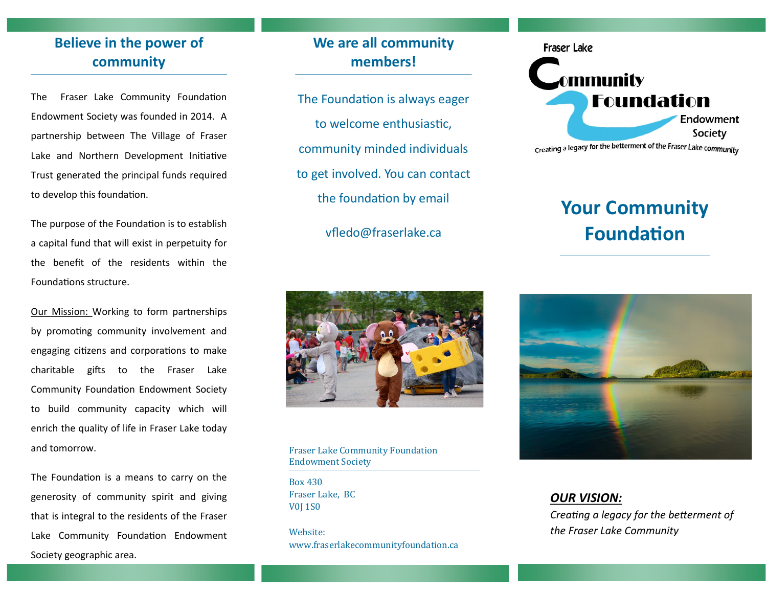# **Believe in the power of community**

The Fraser Lake Community Foundation Endowment Society was founded in 2014. A partnership between The Village of Fraser Lake and Northern Development Initiative Trust generated the principal funds required to develop this foundation.

The purpose of the Foundation is to establish a capital fund that will exist in perpetuity for the benefit of the residents within the Foundations structure.

Our Mission: Working to form partnerships by promoting community involvement and engaging citizens and corporations to make charitable gifts to the Fraser Lake Community Foundation Endowment Society to build community capacity which will enrich the quality of life in Fraser Lake today and tomorrow.

The Foundation is a means to carry on the generosity of community spirit and giving that is integral to the residents of the Fraser Lake Community Foundation Endowment Society geographic area.

## **We are all community members!**

- The Foundation is always eager to welcome enthusiastic, community minded individuals to get involved. You can contact the foundation by email
	- vfledo@fraserlake.ca



Fraser Lake Community Foundation Endowment Society

Box 430 Fraser Lake, BC V0J 1S0

Website: www.fraserlakecommunityfoundation.ca



# **Your Community Foundation**



*OUR VISION:*

*Creating a legacy for the betterment of the Fraser Lake Community*